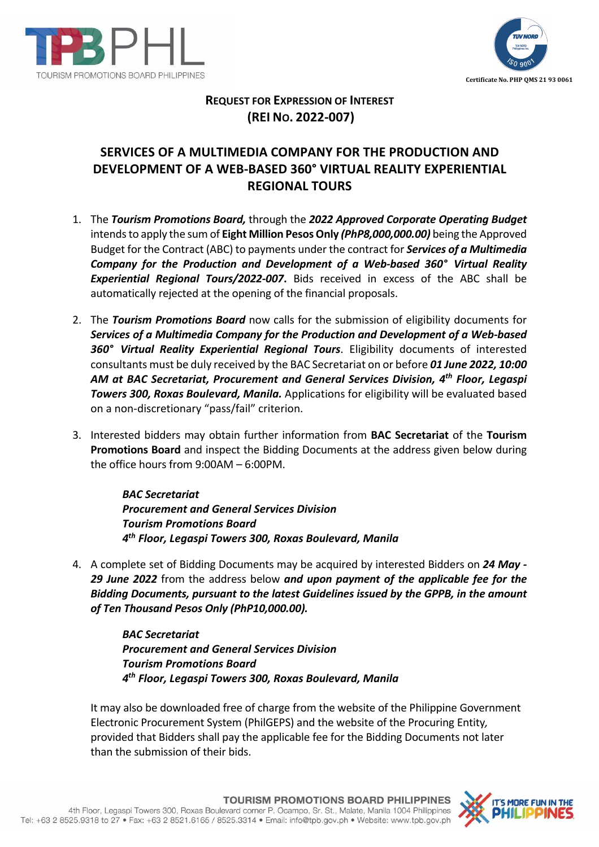



## **REQUEST FOR EXPRESSION OF INTEREST (REI NO. 2022-007)**

## **SERVICES OF A MULTIMEDIA COMPANY FOR THE PRODUCTION AND DEVELOPMENT OF A WEB-BASED 360° VIRTUAL REALITY EXPERIENTIAL REGIONAL TOURS**

- 1. The *Tourism Promotions Board,* through the *2022 Approved Corporate Operating Budget* intends to apply the sum of **Eight Million Pesos Only** *(PhP8,000,000.00)* being the Approved Budget for the Contract (ABC) to payments under the contract for *Services of a Multimedia Company for the Production and Development of a Web-based 360° Virtual Reality Experiential Regional Tours/2022-007***.** Bids received in excess of the ABC shall be automatically rejected at the opening of the financial proposals.
- 2. The *Tourism Promotions Board* now calls for the submission of eligibility documents for *Services of a Multimedia Company for the Production and Development of a Web-based 360° Virtual Reality Experiential Regional Tours*. Eligibility documents of interested consultants must be duly received by the BAC Secretariat on or before *01 June 2022, 10:00 AM at BAC Secretariat, Procurement and General Services Division, 4th Floor, Legaspi Towers 300, Roxas Boulevard, Manila.* Applications for eligibility will be evaluated based on a non-discretionary "pass/fail" criterion.
- 3. Interested bidders may obtain further information from **BAC Secretariat** of the **Tourism Promotions Board** and inspect the Bidding Documents at the address given below during the office hours from 9:00AM – 6:00PM.

*BAC Secretariat Procurement and General Services Division Tourism Promotions Board 4th Floor, Legaspi Towers 300, Roxas Boulevard, Manila*

4. A complete set of Bidding Documents may be acquired by interested Bidders on *24 May - 29 June 2022* from the address below *and upon payment of the applicable fee for the Bidding Documents, pursuant to the latest Guidelines issued by the GPPB, in the amount of Ten Thousand Pesos Only (PhP10,000.00).*

> *BAC Secretariat Procurement and General Services Division Tourism Promotions Board 4th Floor, Legaspi Towers 300, Roxas Boulevard, Manila*

It may also be downloaded free of charge from the website of the Philippine Government Electronic Procurement System (PhilGEPS) and the website of the Procuring Entity*,*  provided that Bidders shall pay the applicable fee for the Bidding Documents not later than the submission of their bids.